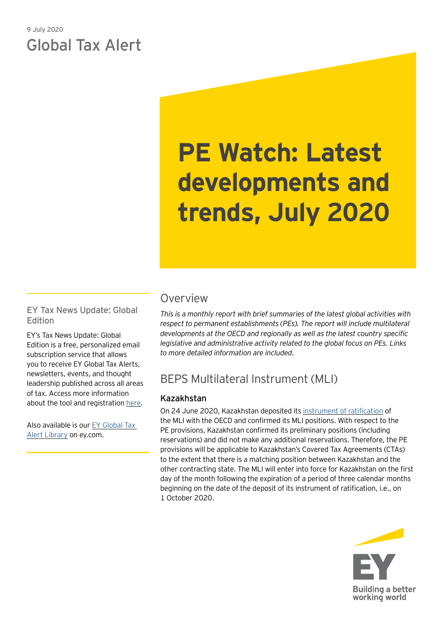# 9 July 2020 Global Tax Alert

# **PE Watch: Latest developments and trends, July 2020**

EY Tax News Update: Global Edition

EY's Tax News Update: Global Edition is a free, personalized email subscription service that allows you to receive EY Global Tax Alerts, newsletters, events, and thought leadership published across all areas of tax. Access more information about the tool and registration [here](https://www.ey.com/gl/en/services/tax/sign-up-for-ey-tax-news-update-global-edition).

Also available is our [EY Global Tax](https://www.ey.com/gl/en/services/tax/international-tax/tax-alert-library)  [Alert Library](https://www.ey.com/gl/en/services/tax/international-tax/tax-alert-library) on ey.com.

## Overview

*This is a monthly report with brief summaries of the latest global activities with respect to permanent establishments (PEs). The report will include multilateral developments at the OECD and regionally as well as the latest country specific legislative and administrative activity related to the global focus on PEs. Links to more detailed information are included.*

## BEPS Multilateral Instrument (MLI)

## Kazakhstan

On 24 June 2020, Kazakhstan deposited its [instrument of ratification](http://www.oecd.org/tax/treaties/beps-mli-position-kazakhstan-instrument-deposit.pdf) of the MLI with the OECD and confirmed its MLI positions. With respect to the PE provisions, Kazakhstan confirmed its preliminary positions (including reservations) and did not make any additional reservations. Therefore, the PE provisions will be applicable to Kazakhstan's Covered Tax Agreements (CTAs) to the extent that there is a matching position between Kazakhstan and the other contracting state. The MLI will enter into force for Kazakhstan on the first day of the month following the expiration of a period of three calendar months beginning on the date of the deposit of its instrument of ratification, i.e., on 1 October 2020.

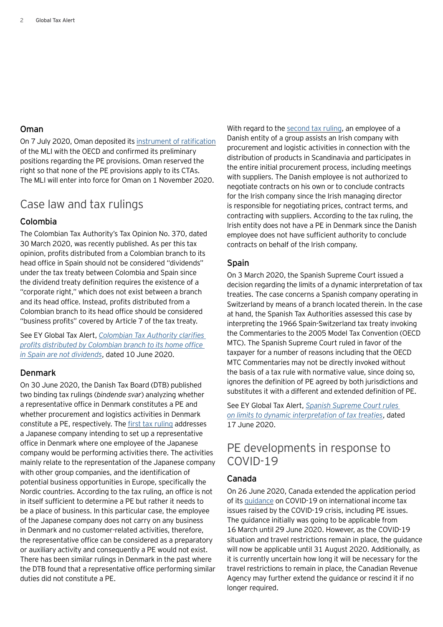#### Oman

On 7 July 2020, Oman deposited its [instrument of ratification](http://www.oecd.org/tax/treaties/beps-mli-position-oman-instrument-deposit.pdf) of the MLI with the OECD and confirmed its preliminary positions regarding the PE provisions. Oman reserved the right so that none of the PE provisions apply to its CTAs. The MLI will enter into force for Oman on 1 November 2020.

## Case law and tax rulings

### Colombia

The Colombian Tax Authority's Tax Opinion No. 370, dated 30 March 2020, was recently published. As per this tax opinion, profits distributed from a Colombian branch to its head office in Spain should not be considered "dividends" under the tax treaty between Colombia and Spain since the dividend treaty definition requires the existence of a "corporate right," which does not exist between a branch and its head office. Instead, profits distributed from a Colombian branch to its head office should be considered "business profits" covered by Article 7 of the tax treaty.

See EY Global Tax Alert, *[Colombian Tax Authority clarifies](https://globaltaxnews.ey.com/news/2020-5857-colombian-tax-authority-clarifies-profits-distributed-by-colombian-branch-to-its-home-office-in-spain-are-not-dividends)  [profits distributed by Colombian branch to its home office](https://globaltaxnews.ey.com/news/2020-5857-colombian-tax-authority-clarifies-profits-distributed-by-colombian-branch-to-its-home-office-in-spain-are-not-dividends)  in [Spain are not dividends](https://globaltaxnews.ey.com/news/2020-5857-colombian-tax-authority-clarifies-profits-distributed-by-colombian-branch-to-its-home-office-in-spain-are-not-dividends)*, dated 10 June 2020.

#### Denmark

On 30 June 2020, the Danish Tax Board (DTB) published two binding tax rulings (*bindende svar*) analyzing whether a representative office in Denmark constitutes a PE and whether procurement and logistics activities in Denmark constitute a PE, respectively. The [first tax ruling](https://www.skat.dk/skat.aspx?oid=2296744) addresses a Japanese company intending to set up a representative office in Denmark where one employee of the Japanese company would be performing activities there. The activities mainly relate to the representation of the Japanese company with other group companies, and the identification of potential business opportunities in Europe, specifically the Nordic countries. According to the tax ruling, an office is not in itself sufficient to determine a PE but rather it needs to be a place of business. In this particular case, the employee of the Japanese company does not carry on any business in Denmark and no customer-related activities, therefore, the representative office can be considered as a preparatory or auxiliary activity and consequently a PE would not exist. There has been similar rulings in Denmark in the past where the DTB found that a representative office performing similar duties did not constitute a PE.

With regard to the [second tax ruling](https://www.skat.dk/skat.aspx?oid=2296598), an employee of a Danish entity of a group assists an Irish company with procurement and logistic activities in connection with the distribution of products in Scandinavia and participates in the entire initial procurement process, including meetings with suppliers. The Danish employee is not authorized to negotiate contracts on his own or to conclude contracts for the Irish company since the Irish managing director is responsible for negotiating prices, contract terms, and contracting with suppliers. According to the tax ruling, the Irish entity does not have a PE in Denmark since the Danish employee does not have sufficient authority to conclude contracts on behalf of the Irish company.

#### Spain

On 3 March 2020, the Spanish Supreme Court issued a decision regarding the limits of a dynamic interpretation of tax treaties. The case concerns a Spanish company operating in Switzerland by means of a branch located therein. In the case at hand, the Spanish Tax Authorities assessed this case by interpreting the 1966 Spain-Switzerland tax treaty invoking the Commentaries to the 2005 Model Tax Convention (OECD MTC). The Spanish Supreme Court ruled in favor of the taxpayer for a number of reasons including that the OECD MTC Commentaries may not be directly invoked without the basis of a tax rule with normative value, since doing so, ignores the definition of PE agreed by both jurisdictions and substitutes it with a different and extended definition of PE.

See EY Global Tax Alert, *[Spanish Supreme Court rules](https://globaltaxnews.ey.com/news/2020-5884-spanish-supreme-court-rules-on-limits-to-dynamic-interpretation-of-tax-treaties)  [on limits to dynamic interpretation of tax treaties](https://globaltaxnews.ey.com/news/2020-5884-spanish-supreme-court-rules-on-limits-to-dynamic-interpretation-of-tax-treaties)*, dated 17 June 2020.

## PE developments in response to COVID-19

#### Canada

On 26 June 2020, Canada extended the application period of its [guidance](https://www.canada.ca/en/revenue-agency/campaigns/covid-19-update/guidance-international-income-tax-issues.html) on COVID-19 on international income tax issues raised by the COVID-19 crisis, including PE issues. The guidance initially was going to be applicable from 16 March until 29 June 2020. However, as the COVID-19 situation and travel restrictions remain in place, the guidance will now be applicable until 31 August 2020. Additionally, as it is currently uncertain how long it will be necessary for the travel restrictions to remain in place, the Canadian Revenue Agency may further extend the guidance or rescind it if no longer required.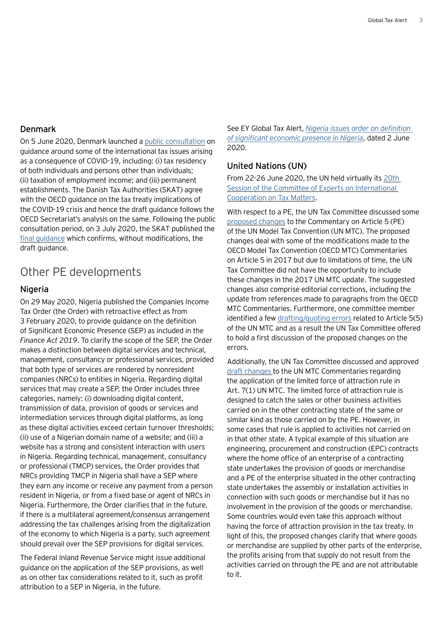#### Denmark

On 5 June 2020, Denmark launched a [public consultation](https://www.skat.dk/SKAT.aspx?oid=2296136) on guidance around some of the international tax issues arising as a consequence of COVID-19, including: (i) tax residency of both individuals and persons other than individuals; (ii) taxation of employment income; and (iii) permanent establishments. The Danish Tax Authorities (SKAT) agree with the OECD guidance on the tax treaty implications of the COVID-19 crisis and hence the draft guidance follows the OECD Secretariat's analysis on the same. Following the public consultation period, on 3 July 2020, the SKAT published the [final guidance](https://skat.dk/skat.aspx?oid=2296858&lang=da) which confirms, without modifications, the draft guidance.

## Other PE developments

#### Nigeria

On 29 May 2020, Nigeria published the Companies Income Tax Order (the Order) with retroactive effect as from 3 February 2020, to provide guidance on the definition of Significant Economic Presence (SEP) as included in the *Finance Act 2019*. To clarify the scope of the SEP, the Order makes a distinction between digital services and technical, management, consultancy or professional services, provided that both type of services are rendered by nonresident companies (NRCs) to entities in Nigeria. Regarding digital services that may create a SEP, the Order includes three categories, namely: (i) downloading digital content, transmission of data, provision of goods or services and intermediation services through digital platforms, as long as these digital activities exceed certain turnover thresholds; (ii) use of a Nigerian domain name of a website; and (iii) a website has a strong and consistent interaction with users in Nigeria. Regarding technical, management, consultancy or professional (TMCP) services, the Order provides that NRCs providing TMCP in Nigeria shall have a SEP where they earn any income or receive any payment from a person resident in Nigeria, or from a fixed base or agent of NRCs in Nigeria. Furthermore, the Order clarifies that in the future, if there is a multilateral agreement/consensus arrangement addressing the tax challenges arising from the digitalization of the economy to which Nigeria is a party, such agreement should prevail over the SEP provisions for digital services.

The Federal Inland Revenue Service might issue additional guidance on the application of the SEP provisions, as well as on other tax considerations related to it, such as profit attribution to a SEP in Nigeria, in the future.

See EY Global Tax Alert, *[Nigeria issues order on definition](https://globaltaxnews.ey.com/news/2020-5817-nigeria-issues-order-on-definition-of-significant-economic-presence-in-nigeria)  [of significant economic presence in Nigeria](https://globaltaxnews.ey.com/news/2020-5817-nigeria-issues-order-on-definition-of-significant-economic-presence-in-nigeria)*, dated 2 June 2020.

#### United Nations (UN)

From 22-26 June 2020, the UN held virtually its [20th](https://www.un.org/development/desa/financing/events/20th-session-committee-experts-international-cooperation-tax-matters)  [Session of the Committee of Experts on International](https://www.un.org/development/desa/financing/events/20th-session-committee-experts-international-cooperation-tax-matters)  [Cooperation on Tax Matters.](https://www.un.org/development/desa/financing/events/20th-session-committee-experts-international-cooperation-tax-matters)

With respect to a PE, the UN Tax Committee discussed some [proposed changes](https://www.un.org/development/desa/financing/sites/www.un.org.development.desa.financing/files/2020-05/CRP10%20changes%20to%20Article%205%20Commentary.pdf) to the Commentary on Article 5 (PE) of the UN Model Tax Convention (UN MTC). The proposed changes deal with some of the modifications made to the OECD Model Tax Convention (OECD MTC) Commentaries on Article 5 in 2017 but due to limitations of time, the UN Tax Committee did not have the opportunity to include these changes in the 2017 UN MTC update. The suggested changes also comprise editorial corrections, including the update from references made to paragraphs from the OECD MTC Commentaries. Furthermore, one committee member identified a few [drafting/quoting errors](https://www.un.org/development/desa/financing/sites/www.un.org.development.desa.financing/files/2020-05/CRP26%20Correction%20Art.%205%20and%20Commentary.pdf) related to Article 5(5) of the UN MTC and as a result the UN Tax Committee offered to hold a first discussion of the proposed changes on the errors.

Additionally, the UN Tax Committee discussed and approved [draft changes](https://www.un.org/development/desa/financing/sites/www.un.org.development.desa.financing/files/2020-05/CRP7%20Art.%207%20and%20EPC%20contracts_0.pdf) to the UN MTC Commentaries regarding the application of the limited force of attraction rule in Art. 7(1) UN MTC. The limited force of attraction rule is designed to catch the sales or other business activities carried on in the other contracting state of the same or similar kind as those carried on by the PE. However, in some cases that rule is applied to activities not carried on in that other state. A typical example of this situation are engineering, procurement and construction (EPC) contracts where the home office of an enterprise of a contracting state undertakes the provision of goods or merchandise and a PE of the enterprise situated in the other contracting state undertakes the assembly or installation activities in connection with such goods or merchandise but it has no involvement in the provision of the goods or merchandise. Some countries would even take this approach without having the force of attraction provision in the tax treaty. In light of this, the proposed changes clarify that where goods or merchandise are supplied by other parts of the enterprise, the profits arising from that supply do not result from the activities carried on through the PE and are not attributable to it.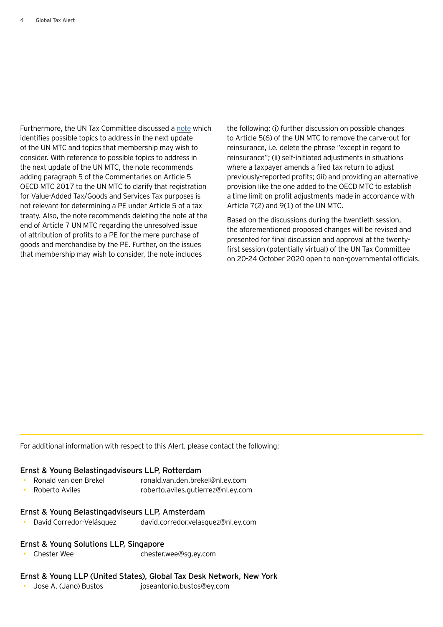Furthermore, the UN Tax Committee discussed a [note](https://www.un.org/development/desa/financing/sites/www.un.org.development.desa.financing/files/2020-05/CRP12%20Technical%20changes%20for%202021%20update.pdf) which identifies possible topics to address in the next update of the UN MTC and topics that membership may wish to consider. With reference to possible topics to address in the next update of the UN MTC, the note recommends adding paragraph 5 of the Commentaries on Article 5 OECD MTC 2017 to the UN MTC to clarify that registration for Value-Added Tax/Goods and Services Tax purposes is not relevant for determining a PE under Article 5 of a tax treaty. Also, the note recommends deleting the note at the end of Article 7 UN MTC regarding the unresolved issue of attribution of profits to a PE for the mere purchase of goods and merchandise by the PE. Further, on the issues that membership may wish to consider, the note includes

the following: (i) further discussion on possible changes to Article 5(6) of the UN MTC to remove the carve-out for reinsurance, i.e. delete the phrase ''except in regard to reinsurance''; (ii) self-initiated adjustments in situations where a taxpayer amends a filed tax return to adjust previously-reported profits; (iii) and providing an alternative provision like the one added to the OECD MTC to establish a time limit on profit adjustments made in accordance with Article 7(2) and 9(1) of the UN MTC.

Based on the discussions during the twentieth session, the aforementioned proposed changes will be revised and presented for final discussion and approval at the twentyfirst session (potentially virtual) of the UN Tax Committee on 20-24 October 2020 open to non-governmental officials.

For additional information with respect to this Alert, please contact the following:

#### Ernst & Young Belastingadviseurs LLP, Rotterdam

- Ronald van den Brekel ronald.van.den.brekel@nl.ey.com
	- Roberto Aviles roberto.aviles.gutierrez@nl.ey.com

#### Ernst & Young Belastingadviseurs LLP, Amsterdam

• David Corredor-Velásquez david.corredor.velasquez@nl.ey.com

#### Ernst & Young Solutions LLP, Singapore

• Chester Wee chester.wee@sg.ey.com

#### Ernst & Young LLP (United States), Global Tax Desk Network, New York

• Jose A. (Jano) Bustos joseantonio.bustos@ey.com